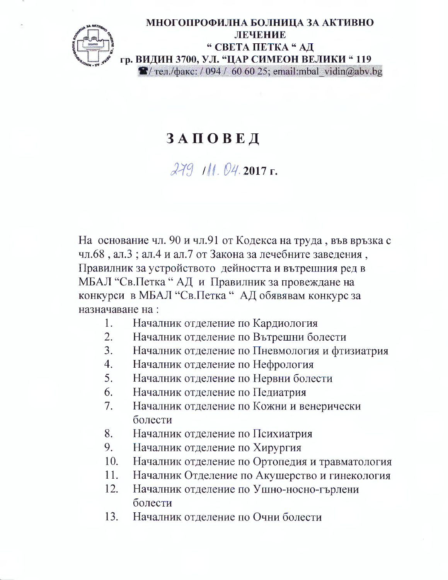

## **ЗАПОВЕД**

## $279$   $111.04.2017$  r.

На основание чл. 90 и чл. 91 от Кодекса на труда, във връзка с чл.68, ал.3; ал.4 и ал.7 от Закона за лечебните заведения, Правилник за устройството дейността и вътрешния ред в МБАЛ "Св.Петка "АД и Правилник за провеждане на конкурси в МБАЛ "Св.Петка " АД обявявам конкурс за назначаване на:

- $1.$ Началник отделение по Кардиология
- Началник отделение по Вътрешни болести 2.
- 3. Началник отделение по Пневмология и фтизиатрия
- $\overline{4}$ . Началник отделение по Нефрология
- 5. Началник отделение по Нервни болести
- 6. Началник отделение по Педиатрия
- 7. Началник отделение по Кожни и венерически болести
- Началник отделение по Психиатрия 8.
- 9. Началник отделение по Хирургия
- Началник отделение по Ортопедия и травматология  $10.$
- Началник Отделение по Акушерство и гинекология 11.
- 12. Началник отделение по Ушно-носно-гърлени болести
- 13. Началник отделение по Очни болести